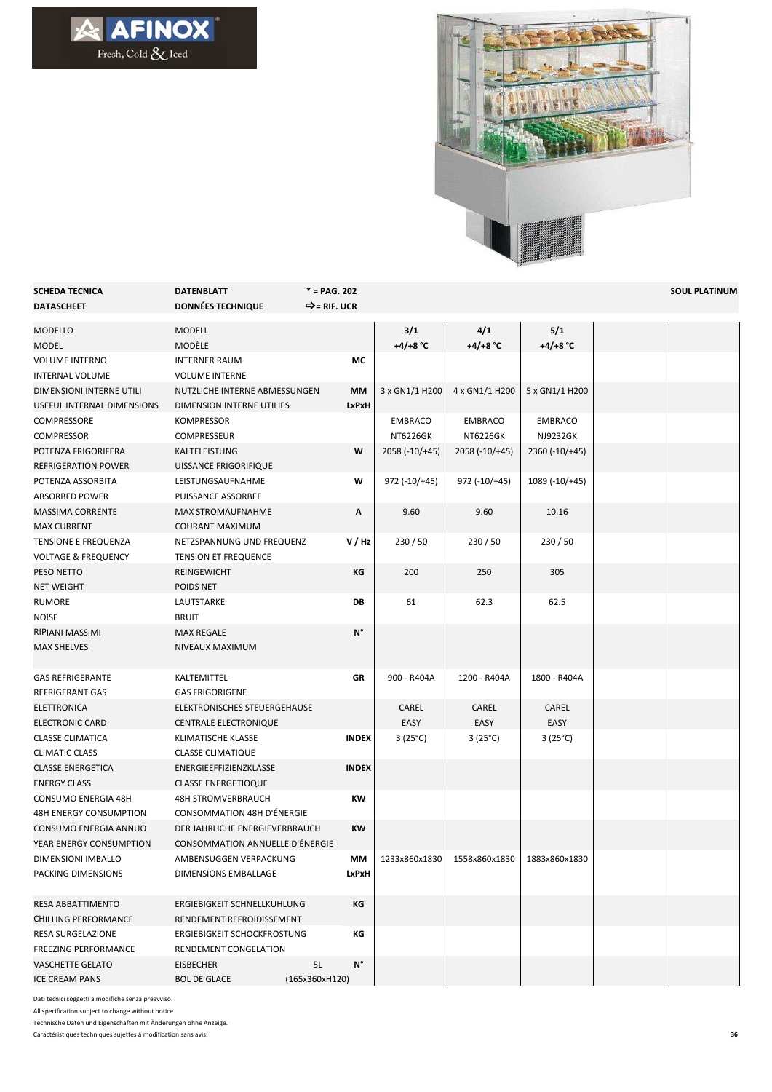



| <b>SCHEDA TECNICA</b>          | <b>DATENBLATT</b>               | $* = PAG. 202$           |                    |                    |                    | <b>SOUL PLATINUM</b> |
|--------------------------------|---------------------------------|--------------------------|--------------------|--------------------|--------------------|----------------------|
| <b>DATASCHEET</b>              | <b>DONNÉES TECHNIQUE</b>        | D = RIF. UCR             |                    |                    |                    |                      |
| MODELLO                        | <b>MODELL</b>                   |                          | 3/1                | 4/1                | 5/1                |                      |
| <b>MODEL</b>                   | MODÈLE                          |                          | +4/+8 $^{\circ}$ C | +4/+8 $^{\circ}$ C | +4/+8 $^{\circ}$ C |                      |
| <b>VOLUME INTERNO</b>          | <b>INTERNER RAUM</b>            | МC                       |                    |                    |                    |                      |
| <b>INTERNAL VOLUME</b>         | <b>VOLUME INTERNE</b>           |                          |                    |                    |                    |                      |
| DIMENSIONI INTERNE UTILI       | NUTZLICHE INTERNE ABMESSUNGEN   | МM                       | 3 x GN1/1 H200     | 4 x GN1/1 H200     | 5 x GN1/1 H200     |                      |
| USEFUL INTERNAL DIMENSIONS     | DIMENSION INTERNE UTILIES       | LxPxH                    |                    |                    |                    |                      |
| COMPRESSORE                    | <b>KOMPRESSOR</b>               |                          | <b>EMBRACO</b>     | <b>EMBRACO</b>     | <b>EMBRACO</b>     |                      |
| <b>COMPRESSOR</b>              | <b>COMPRESSEUR</b>              |                          | <b>NT6226GK</b>    | NT6226GK           | NJ9232GK           |                      |
| POTENZA FRIGORIFERA            | KALTELEISTUNG                   | W                        | 2058 (-10/+45)     | $2058 (-10/+45)$   | $2360 (-10) + 45$  |                      |
| REFRIGERATION POWER            | UISSANCE FRIGORIFIQUE           |                          |                    |                    |                    |                      |
| POTENZA ASSORBITA              | LEISTUNGSAUFNAHME               | w                        | $972$ (-10/+45)    | $972$ (-10/+45)    | 1089 (-10/+45)     |                      |
| ABSORBED POWER                 | PUISSANCE ASSORBEE              |                          |                    |                    |                    |                      |
| <b>MASSIMA CORRENTE</b>        | <b>MAX STROMAUFNAHME</b>        | Α                        | 9.60               | 9.60               | 10.16              |                      |
| <b>MAX CURRENT</b>             | <b>COURANT MAXIMUM</b>          |                          |                    |                    |                    |                      |
| TENSIONE E FREQUENZA           | NETZSPANNUNG UND FREQUENZ       | V / Hz                   | 230/50             | 230/50             | 230/50             |                      |
| <b>VOLTAGE &amp; FREQUENCY</b> | <b>TENSION ET FREQUENCE</b>     |                          |                    |                    |                    |                      |
| PESO NETTO                     | REINGEWICHT                     | ΚG                       | 200                | 250                | 305                |                      |
| <b>NET WEIGHT</b>              | POIDS NET                       |                          |                    |                    |                    |                      |
| <b>RUMORE</b>                  | LAUTSTARKE                      | DB                       | 61                 | 62.3               | 62.5               |                      |
| <b>NOISE</b>                   | <b>BRUIT</b>                    |                          |                    |                    |                    |                      |
| RIPIANI MASSIMI                | <b>MAX REGALE</b>               | N°                       |                    |                    |                    |                      |
| <b>MAX SHELVES</b>             | NIVEAUX MAXIMUM                 |                          |                    |                    |                    |                      |
|                                |                                 |                          |                    |                    |                    |                      |
| <b>GAS REFRIGERANTE</b>        | KALTEMITTEL                     | GR                       | 900 - R404A        | 1200 - R404A       | 1800 - R404A       |                      |
| <b>REFRIGERANT GAS</b>         | <b>GAS FRIGORIGENE</b>          |                          |                    |                    |                    |                      |
| ELETTRONICA                    | ELEKTRONISCHES STEUERGEHAUSE    |                          | CAREL              | CAREL              | CAREL              |                      |
| <b>ELECTRONIC CARD</b>         | <b>CENTRALE ELECTRONIQUE</b>    |                          | EASY               | EASY               | EASY               |                      |
| <b>CLASSE CLIMATICA</b>        | KLIMATISCHE KLASSE              | <b>INDEX</b>             | $3(25^{\circ}C)$   | $3(25^{\circ}C)$   | $3(25^{\circ}C)$   |                      |
| <b>CLIMATIC CLASS</b>          | <b>CLASSE CLIMATIQUE</b>        |                          |                    |                    |                    |                      |
| <b>CLASSE ENERGETICA</b>       | ENERGIEEFFIZIENZKLASSE          | <b>INDEX</b>             |                    |                    |                    |                      |
| <b>ENERGY CLASS</b>            | <b>CLASSE ENERGETIOQUE</b>      |                          |                    |                    |                    |                      |
| CONSUMO ENERGIA 48H            | <b>48H STROMVERBRAUCH</b>       | КW                       |                    |                    |                    |                      |
| 48H ENERGY CONSUMPTION         | CONSOMMATION 48H D'ÉNERGIE      |                          |                    |                    |                    |                      |
| CONSUMO ENERGIA ANNUO          | DER JAHRLICHE ENERGIEVERBRAUCH  | <b>KW</b>                |                    |                    |                    |                      |
| YEAR ENERGY CONSUMPTION        | CONSOMMATION ANNUELLE D'ÉNERGIE |                          |                    |                    |                    |                      |
| DIMENSIONI IMBALLO             | AMBENSUGGEN VERPACKUNG          | MМ                       | 1233x860x1830      | 1558x860x1830      | 1883x860x1830      |                      |
| PACKING DIMENSIONS             | <b>DIMENSIONS EMBALLAGE</b>     | LxPxH                    |                    |                    |                    |                      |
|                                |                                 |                          |                    |                    |                    |                      |
| RESA ABBATTIMENTO              | ERGIEBIGKEIT SCHNELLKUHLUNG     | ΚG                       |                    |                    |                    |                      |
| <b>CHILLING PERFORMANCE</b>    | RENDEMENT REFROIDISSEMENT       |                          |                    |                    |                    |                      |
| RESA SURGELAZIONE              | ERGIEBIGKEIT SCHOCKFROSTUNG     | КG                       |                    |                    |                    |                      |
| <b>FREEZING PERFORMANCE</b>    | RENDEMENT CONGELATION           |                          |                    |                    |                    |                      |
| VASCHETTE GELATO               | <b>EISBECHER</b>                | $\mathsf{N}^\circ$<br>5L |                    |                    |                    |                      |
| <b>ICE CREAM PANS</b>          | <b>BOL DE GLACE</b>             | (165x360xH120)           |                    |                    |                    |                      |

Dati tecnici soggetti a modifiche senza preavviso.

All specification subject to change without notice.

Technische Daten und Eigenschaften mit Änderungen ohne Anzeige.

Caractéristiques techniques sujettes à modification sans avis.